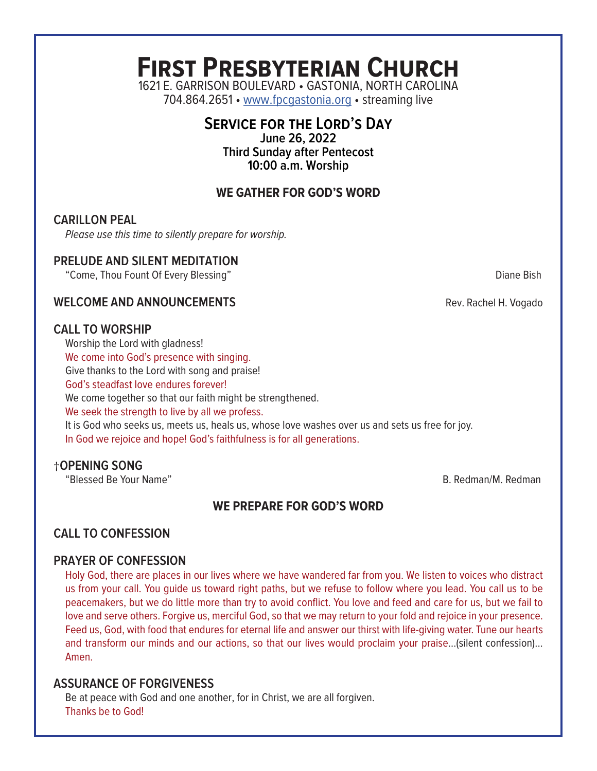# **First Presbyterian Church**

1621 E. GARRISON BOULEVARD • GASTONIA, NORTH CAROLINA 704.864.2651 • www.fpcgastonia.org • streaming live

# **Service for the Lord's Day**

**June 26, 2022 Third Sunday after Pentecost 10:00 a.m. Worship**

# **WE GATHER FOR GOD'S WORD**

# **CARILLON PEAL**

*Please use this time to silently prepare for worship.*

#### **PRELUDE AND SILENT MEDITATION**

"Come, Thou Fount Of Every Blessing" Diane Bish

**WELCOME AND ANNOUNCEMENTS Rev. Rachel H. Vogado** 

# **CALL TO WORSHIP**

Worship the Lord with gladness!

We come into God's presence with singing.

Give thanks to the Lord with song and praise!

God's steadfast love endures forever!

We come together so that our faith might be strengthened.

We seek the strength to live by all we profess.

It is God who seeks us, meets us, heals us, whose love washes over us and sets us free for joy. In God we rejoice and hope! God's faithfulness is for all generations.

# †**OPENING SONG**

"Blessed Be Your Name" B. Redman/M. Redman

# **WE PREPARE FOR GOD'S WORD**

# **CALL TO CONFESSION**

# **PRAYER OF CONFESSION**

Holy God, there are places in our lives where we have wandered far from you. We listen to voices who distract us from your call. You guide us toward right paths, but we refuse to follow where you lead. You call us to be peacemakers, but we do little more than try to avoid conflict. You love and feed and care for us, but we fail to love and serve others. Forgive us, merciful God, so that we may return to your fold and rejoice in your presence. Feed us, God, with food that endures for eternal life and answer our thirst with life-giving water. Tune our hearts and transform our minds and our actions, so that our lives would proclaim your praise…(silent confession)... Amen.

# **ASSURANCE OF FORGIVENESS**

Be at peace with God and one another, for in Christ, we are all forgiven. Thanks be to God!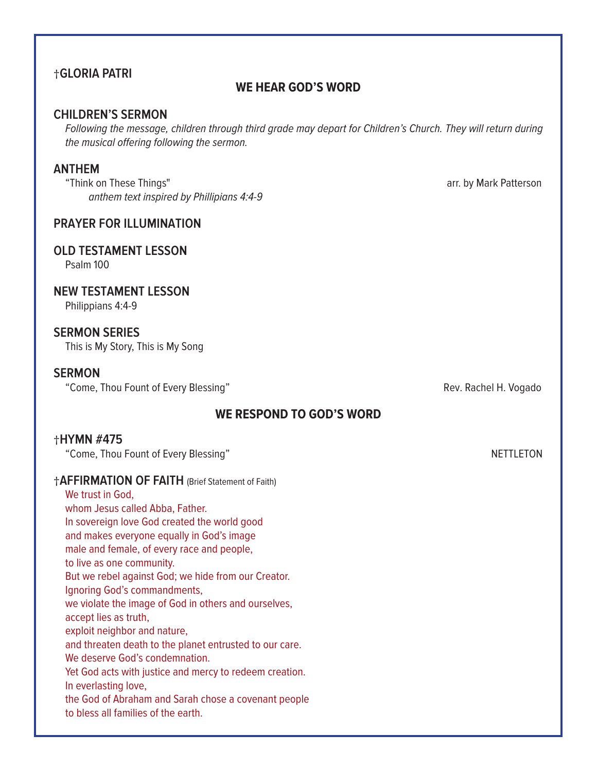# †**GLORIA PATRI**

#### **WE HEAR GOD'S WORD**

#### **CHILDREN'S SERMON**

*Following the message, children through third grade may depart for Children's Church. They will return during the musical offering following the sermon.*

#### **ANTHEM**

"Think on These Things" arr. by Mark Patterson *anthem text inspired by Phillipians 4:4-9*

#### **PRAYER FOR ILLUMINATION**

#### **OLD TESTAMENT LESSON**

Psalm 100

#### **NEW TESTAMENT LESSON**

Philippians 4:4-9

#### **SERMON SERIES**

This is My Story, This is My Song

#### **SERMON**

"Come, Thou Fount of Every Blessing" The Come of the Rev. Rachel H. Vogado

# **WE RESPOND TO GOD'S WORD**

#### †**HYMN #475**

"Come, Thou Fount of Every Blessing" Network: The Come of the NETTLETON

| <b>†AFFIRMATION OF FAITH (Brief Statement of Faith)</b> |
|---------------------------------------------------------|
| We trust in God,                                        |
| whom Jesus called Abba, Father.                         |
| In sovereign love God created the world good            |
| and makes everyone equally in God's image               |
| male and female, of every race and people,              |
| to live as one community.                               |
| But we rebel against God; we hide from our Creator.     |
| Ignoring God's commandments,                            |
| we violate the image of God in others and ourselves,    |
| accept lies as truth,                                   |
| exploit neighbor and nature,                            |
| and threaten death to the planet entrusted to our care. |
| We deserve God's condemnation.                          |
| Yet God acts with justice and mercy to redeem creation. |
| In everlasting love,                                    |
| the God of Abraham and Sarah chose a covenant people    |
| to bless all families of the earth.                     |
|                                                         |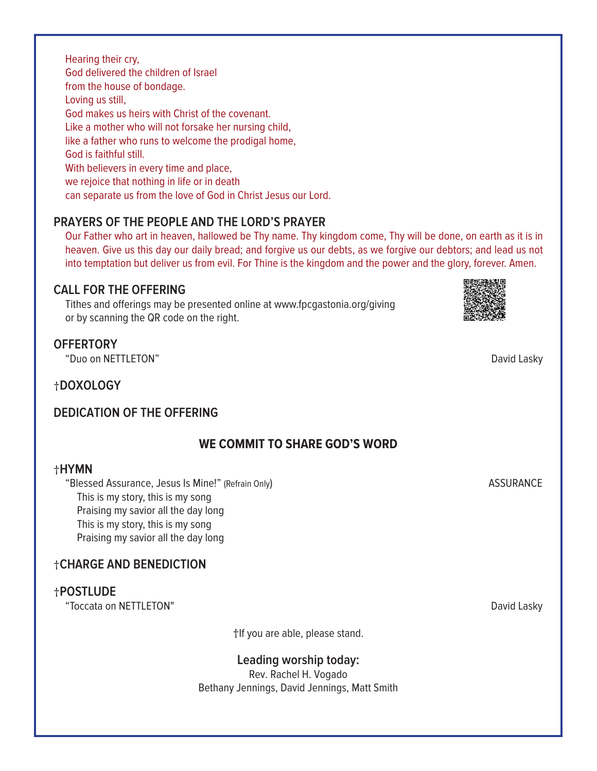Hearing their cry, God delivered the children of Israel from the house of bondage. Loving us still, God makes us heirs with Christ of the covenant. Like a mother who will not forsake her nursing child, like a father who runs to welcome the prodigal home, God is faithful still. With believers in every time and place, we rejoice that nothing in life or in death can separate us from the love of God in Christ Jesus our Lord.

# **PRAYERS OF THE PEOPLE AND THE LORD'S PRAYER**

Our Father who art in heaven, hallowed be Thy name. Thy kingdom come, Thy will be done, on earth as it is in heaven. Give us this day our daily bread; and forgive us our debts, as we forgive our debtors; and lead us not into temptation but deliver us from evil. For Thine is the kingdom and the power and the glory, forever. Amen.

# **CALL FOR THE OFFERING**

Tithes and offerings may be presented online at www.fpcgastonia.org/giving or by scanning the QR code on the right.

# **OFFERTORY**

"Duo on NETTLETON" David Lasky

†**DOXOLOGY**

# **DEDICATION OF THE OFFERING**

# **WE COMMIT TO SHARE GOD'S WORD**

#### †**HYMN**

"Blessed Assurance, Jesus Is Mine!" (Refrain Only) and the control of the ASSURANCE This is my story, this is my song Praising my savior all the day long This is my story, this is my song Praising my savior all the day long

# †**CHARGE AND BENEDICTION**

# †**POSTLUDE**

"Toccata on NETTLETON" David Lasky

†If you are able, please stand.

# **Leading worship today:**

Rev. Rachel H. Vogado Bethany Jennings, David Jennings, Matt Smith

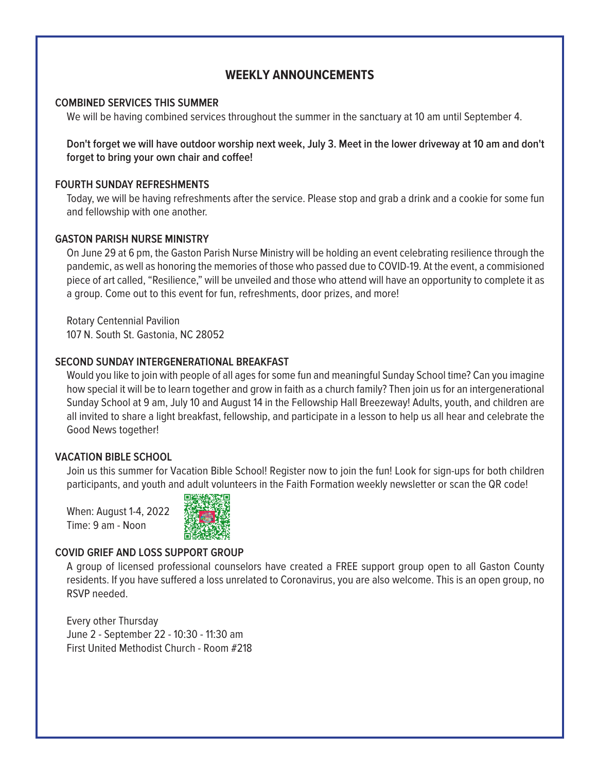# **WEEKLY ANNOUNCEMENTS**

#### **COMBINED SERVICES THIS SUMMER**

We will be having combined services throughout the summer in the sanctuary at 10 am until September 4.

**Don't forget we will have outdoor worship next week, July 3. Meet in the lower driveway at 10 am and don't forget to bring your own chair and coffee!**

#### **FOURTH SUNDAY REFRESHMENTS**

Today, we will be having refreshments after the service. Please stop and grab a drink and a cookie for some fun and fellowship with one another.

#### **GASTON PARISH NURSE MINISTRY**

On June 29 at 6 pm, the Gaston Parish Nurse Ministry will be holding an event celebrating resilience through the pandemic, as well as honoring the memories of those who passed due to COVID-19. At the event, a commisioned piece of art called, "Resilience," will be unveiled and those who attend will have an opportunity to complete it as a group. Come out to this event for fun, refreshments, door prizes, and more!

Rotary Centennial Pavilion 107 N. South St. Gastonia, NC 28052

#### **SECOND SUNDAY INTERGENERATIONAL BREAKFAST**

Would you like to join with people of all ages for some fun and meaningful Sunday School time? Can you imagine how special it will be to learn together and grow in faith as a church family? Then join us for an intergenerational Sunday School at 9 am, July 10 and August 14 in the Fellowship Hall Breezeway! Adults, youth, and children are all invited to share a light breakfast, fellowship, and participate in a lesson to help us all hear and celebrate the Good News together!

#### **VACATION BIBLE SCHOOL**

Join us this summer for Vacation Bible School! Register now to join the fun! Look for sign-ups for both children participants, and youth and adult volunteers in the Faith Formation weekly newsletter or scan the QR code!

When: August 1-4, 2022 Time: 9 am - Noon



#### **COVID GRIEF AND LOSS SUPPORT GROUP**

A group of licensed professional counselors have created a FREE support group open to all Gaston County residents. If you have suffered a loss unrelated to Coronavirus, you are also welcome. This is an open group, no RSVP needed.

Every other Thursday June 2 - September 22 - 10:30 - 11:30 am First United Methodist Church - Room #218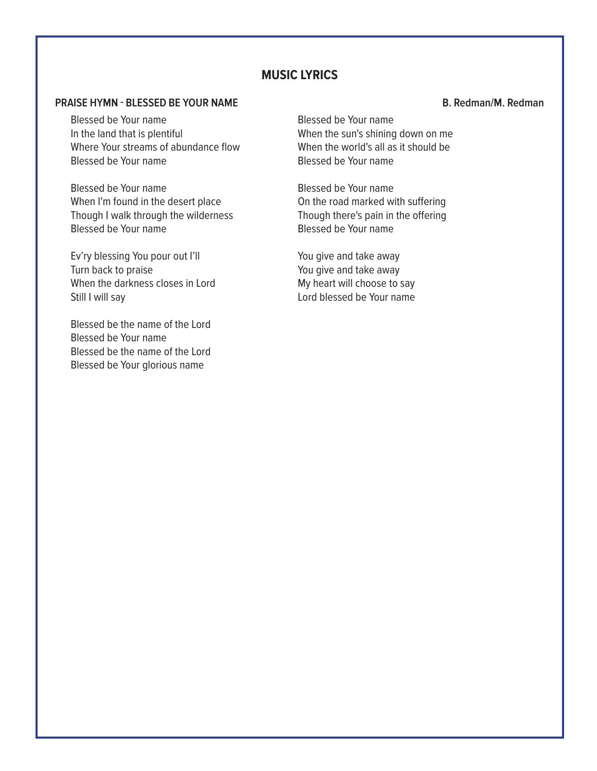#### **MUSIC LYRICS**

#### **PRAISE HYMN - BLESSED BE YOUR NAME B. Redman/M. Redman**

Blessed be Your name In the land that is plentiful Where Your streams of abundance flow Blessed be Your name

Blessed be Your name When I'm found in the desert place Though I walk through the wilderness Blessed be Your name

Ev'ry blessing You pour out I'll Turn back to praise When the darkness closes in Lord Still I will say

Blessed be the name of the Lord Blessed be Your name Blessed be the name of the Lord Blessed be Your glorious name

Blessed be Your name When the sun's shining down on me When the world's all as it should be Blessed be Your name

Blessed be Your name On the road marked with suffering Though there's pain in the offering Blessed be Your name

You give and take away You give and take away My heart will choose to say Lord blessed be Your name